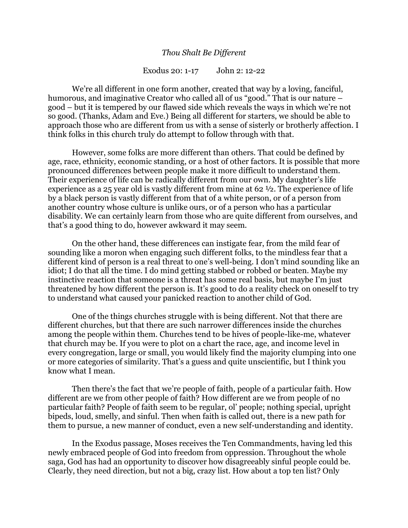## *Thou Shalt Be Different*

## Exodus 20: 1-17 John 2: 12-22

We're all different in one form another, created that way by a loving, fanciful, humorous, and imaginative Creator who called all of us "good." That is our nature – good – but it is tempered by our flawed side which reveals the ways in which we're not so good. (Thanks, Adam and Eve.) Being all different for starters, we should be able to approach those who are different from us with a sense of sisterly or brotherly affection. I think folks in this church truly do attempt to follow through with that.

However, some folks are more different than others. That could be defined by age, race, ethnicity, economic standing, or a host of other factors. It is possible that more pronounced differences between people make it more difficult to understand them. Their experience of life can be radically different from our own. My daughter's life experience as a 25 year old is vastly different from mine at 62 ½. The experience of life by a black person is vastly different from that of a white person, or of a person from another country whose culture is unlike ours, or of a person who has a particular disability. We can certainly learn from those who are quite different from ourselves, and that's a good thing to do, however awkward it may seem.

On the other hand, these differences can instigate fear, from the mild fear of sounding like a moron when engaging such different folks, to the mindless fear that a different kind of person is a real threat to one's well-being. I don't mind sounding like an idiot; I do that all the time. I do mind getting stabbed or robbed or beaten. Maybe my instinctive reaction that someone is a threat has some real basis, but maybe I'm just threatened by how different the person is. It's good to do a reality check on oneself to try to understand what caused your panicked reaction to another child of God.

One of the things churches struggle with is being different. Not that there are different churches, but that there are such narrower differences inside the churches among the people within them. Churches tend to be hives of people-like-me, whatever that church may be. If you were to plot on a chart the race, age, and income level in every congregation, large or small, you would likely find the majority clumping into one or more categories of similarity. That's a guess and quite unscientific, but I think you know what I mean.

Then there's the fact that we're people of faith, people of a particular faith. How different are we from other people of faith? How different are we from people of no particular faith? People of faith seem to be regular, ol' people; nothing special, upright bipeds, loud, smelly, and sinful. Then when faith is called out, there is a new path for them to pursue, a new manner of conduct, even a new self-understanding and identity.

In the Exodus passage, Moses receives the Ten Commandments, having led this newly embraced people of God into freedom from oppression. Throughout the whole saga, God has had an opportunity to discover how disagreeably sinful people could be. Clearly, they need direction, but not a big, crazy list. How about a top ten list? Only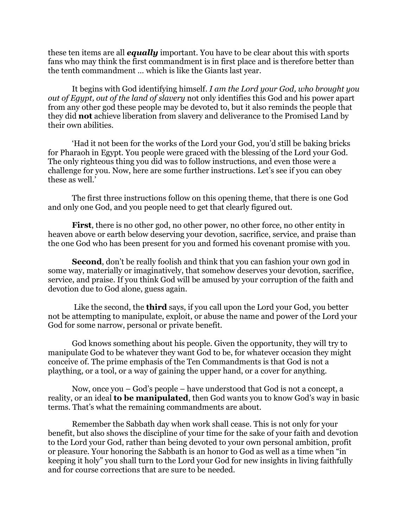these ten items are all *equally* important. You have to be clear about this with sports fans who may think the first commandment is in first place and is therefore better than the tenth commandment … which is like the Giants last year.

It begins with God identifying himself*. I am the Lord your God, who brought you out of Egypt, out of the land of slavery* not only identifies this God and his power apart from any other god these people may be devoted to, but it also reminds the people that they did **not** achieve liberation from slavery and deliverance to the Promised Land by their own abilities.

'Had it not been for the works of the Lord your God, you'd still be baking bricks for Pharaoh in Egypt. You people were graced with the blessing of the Lord your God. The only righteous thing you did was to follow instructions, and even those were a challenge for you. Now, here are some further instructions. Let's see if you can obey these as well.'

The first three instructions follow on this opening theme, that there is one God and only one God, and you people need to get that clearly figured out.

**First**, there is no other god, no other power, no other force, no other entity in heaven above or earth below deserving your devotion, sacrifice, service, and praise than the one God who has been present for you and formed his covenant promise with you.

**Second**, don't be really foolish and think that you can fashion your own god in some way, materially or imaginatively, that somehow deserves your devotion, sacrifice, service, and praise. If you think God will be amused by your corruption of the faith and devotion due to God alone, guess again.

Like the second, the **third** says, if you call upon the Lord your God, you better not be attempting to manipulate, exploit, or abuse the name and power of the Lord your God for some narrow, personal or private benefit.

God knows something about his people. Given the opportunity, they will try to manipulate God to be whatever they want God to be, for whatever occasion they might conceive of. The prime emphasis of the Ten Commandments is that God is not a plaything, or a tool, or a way of gaining the upper hand, or a cover for anything.

Now, once you – God's people – have understood that God is not a concept, a reality, or an ideal **to be manipulated**, then God wants you to know God's way in basic terms. That's what the remaining commandments are about.

Remember the Sabbath day when work shall cease. This is not only for your benefit, but also shows the discipline of your time for the sake of your faith and devotion to the Lord your God, rather than being devoted to your own personal ambition, profit or pleasure. Your honoring the Sabbath is an honor to God as well as a time when "in keeping it holy" you shall turn to the Lord your God for new insights in living faithfully and for course corrections that are sure to be needed.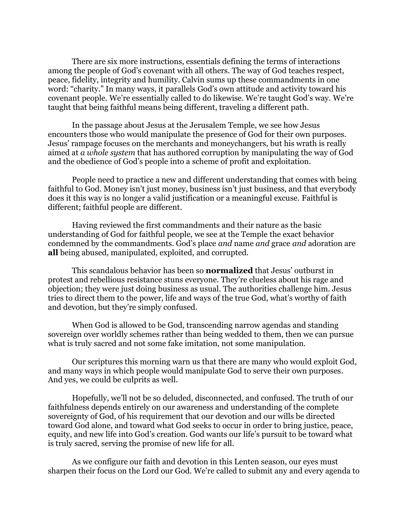There are six more instructions, essentials defining the terms of interactions among the people of God's covenant with all others. The way of God teaches respect, peace, fidelity, integrity and humility. Calvin sums up these commandments in one word: "charity." In many ways, it parallels God's own attitude and activity toward his covenant people. We're essentially called to do likewise. We're taught God's way. We're taught that being faithful means being different, traveling a different path.

In the passage about Jesus at the Jerusalem Temple, we see how Jesus encounters those who would manipulate the presence of God for their own purposes. Jesus' rampage focuses on the merchants and moneychangers, but his wrath is really aimed at *a whole system* that has authored corruption by manipulating the way of God and the obedience of God's people into a scheme of profit and exploitation.

People need to practice a new and different understanding that comes with being faithful to God. Money isn't just money, business isn't just business, and that everybody does it this way is no longer a valid justification or a meaningful excuse. Faithful is different; faithful people are different.

Having reviewed the first commandments and their nature as the basic understanding of God for faithful people, we see at the Temple the exact behavior condemned by the commandments. God's place *and* name *and* grace *and* adoration are **all** being abused, manipulated, exploited, and corrupted.

This scandalous behavior has been so **normalized** that Jesus' outburst in protest and rebellious resistance stuns everyone. They're clueless about his rage and objection; they were just doing business as usual. The authorities challenge him. Jesus tries to direct them to the power, life and ways of the true God, what's worthy of faith and devotion, but they're simply confused.

When God is allowed to be God, transcending narrow agendas and standing sovereign over worldly schemes rather than being wedded to them, then we can pursue what is truly sacred and not some fake imitation, not some manipulation.

Our scriptures this morning warn us that there are many who would exploit God, and many ways in which people would manipulate God to serve their own purposes. And yes, we could be culprits as well.

Hopefully, we'll not be so deluded, disconnected, and confused. The truth of our faithfulness depends entirely on our awareness and understanding of the complete sovereignty of God, of his requirement that our devotion and our wills be directed toward God alone, and toward what God seeks to occur in order to bring justice, peace, equity, and new life into God's creation. God wants our life's pursuit to be toward what is truly sacred, serving the promise of new life for all.

As we configure our faith and devotion in this Lenten season, our eyes must sharpen their focus on the Lord our God. We're called to submit any and every agenda to